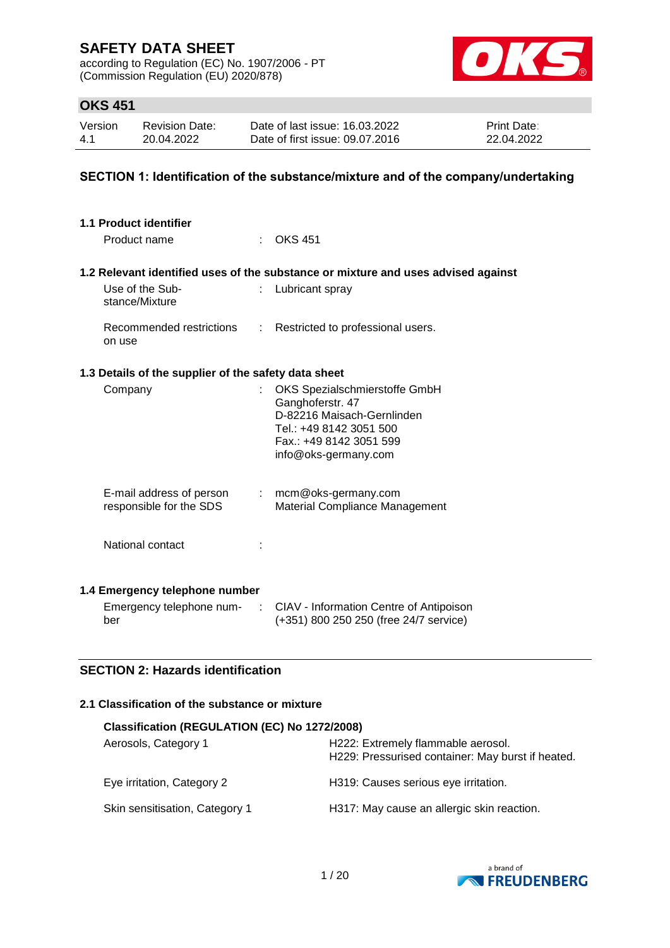according to Regulation (EC) No. 1907/2006 - PT (Commission Regulation (EU) 2020/878)



## **OKS 451**

| Version | <b>Revision Date:</b> | Date of last issue: 16.03.2022  | <b>Print Date:</b> |
|---------|-----------------------|---------------------------------|--------------------|
| -4.1    | 20.04.2022            | Date of first issue: 09.07.2016 | 22.04.2022         |

### **SECTION 1: Identification of the substance/mixture and of the company/undertaking**

| 1.1 Product identifier                                                 |                                                                                                                                                               |
|------------------------------------------------------------------------|---------------------------------------------------------------------------------------------------------------------------------------------------------------|
| Product name                                                           | <b>OKS 451</b>                                                                                                                                                |
|                                                                        | 1.2 Relevant identified uses of the substance or mixture and uses advised against                                                                             |
| Use of the Sub-<br>stance/Mixture                                      | Lubricant spray                                                                                                                                               |
| Recommended restrictions : Restricted to professional users.<br>on use |                                                                                                                                                               |
| 1.3 Details of the supplier of the safety data sheet                   |                                                                                                                                                               |
| Company                                                                | OKS Spezialschmierstoffe GmbH<br>Ganghoferstr. 47<br>D-82216 Maisach-Gernlinden<br>Tel.: +49 8142 3051 500<br>Fax.: +49 8142 3051 599<br>info@oks-germany.com |
| E-mail address of person<br>responsible for the SDS                    | $:$ mcm@oks-germany.com<br>Material Compliance Management                                                                                                     |
| National contact                                                       |                                                                                                                                                               |
| 1.4 Emergency telephone number<br>Emergency telephone num-<br>÷<br>ber | CIAV - Information Centre of Antipoison<br>(+351) 800 250 250 (free 24/7 service)                                                                             |

## **SECTION 2: Hazards identification**

### **2.1 Classification of the substance or mixture**

| Classification (REGULATION (EC) No 1272/2008) |                                                                                         |  |  |
|-----------------------------------------------|-----------------------------------------------------------------------------------------|--|--|
| Aerosols, Category 1                          | H222: Extremely flammable aerosol.<br>H229: Pressurised container: May burst if heated. |  |  |
| Eye irritation, Category 2                    | H319: Causes serious eye irritation.                                                    |  |  |
| Skin sensitisation, Category 1                | H317: May cause an allergic skin reaction.                                              |  |  |

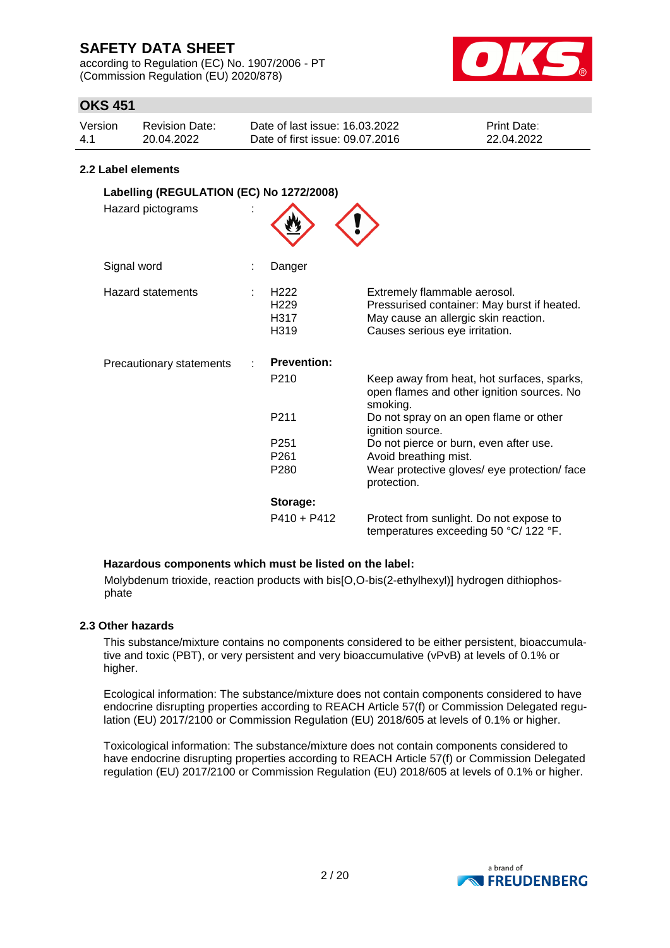according to Regulation (EC) No. 1907/2006 - PT (Commission Regulation (EU) 2020/878)



## **OKS 451**

| Version | Revision Date: | Date of last issue: 16.03.2022  | <b>Print Date:</b> |
|---------|----------------|---------------------------------|--------------------|
| -4.1    | 20.04.2022     | Date of first issue: 09.07.2016 | 22.04.2022         |

#### **2.2 Label elements**

| Labelling (REGULATION (EC) No 1272/2008) |                                                      |                                                                                                                                                       |
|------------------------------------------|------------------------------------------------------|-------------------------------------------------------------------------------------------------------------------------------------------------------|
| Hazard pictograms                        |                                                      |                                                                                                                                                       |
| Signal word                              | Danger                                               |                                                                                                                                                       |
| <b>Hazard statements</b>                 | H <sub>222</sub><br>H <sub>229</sub><br>H317<br>H319 | Extremely flammable aerosol.<br>Pressurised container: May burst if heated.<br>May cause an allergic skin reaction.<br>Causes serious eye irritation. |
| Precautionary statements                 | <b>Prevention:</b>                                   |                                                                                                                                                       |
|                                          | P <sub>210</sub>                                     | Keep away from heat, hot surfaces, sparks,<br>open flames and other ignition sources. No<br>smoking.                                                  |
|                                          | P <sub>211</sub>                                     | Do not spray on an open flame or other<br>ignition source.                                                                                            |
|                                          | P <sub>251</sub>                                     | Do not pierce or burn, even after use.                                                                                                                |
|                                          | P <sub>261</sub>                                     | Avoid breathing mist.                                                                                                                                 |
|                                          | P <sub>280</sub>                                     | Wear protective gloves/ eye protection/ face<br>protection.                                                                                           |
|                                          | Storage:                                             |                                                                                                                                                       |
|                                          | P410 + P412                                          | Protect from sunlight. Do not expose to<br>temperatures exceeding 50 °C/ 122 °F.                                                                      |

#### **Hazardous components which must be listed on the label:**

Molybdenum trioxide, reaction products with bis[O,O-bis(2-ethylhexyl)] hydrogen dithiophosphate

#### **2.3 Other hazards**

This substance/mixture contains no components considered to be either persistent, bioaccumulative and toxic (PBT), or very persistent and very bioaccumulative (vPvB) at levels of 0.1% or higher.

Ecological information: The substance/mixture does not contain components considered to have endocrine disrupting properties according to REACH Article 57(f) or Commission Delegated regulation (EU) 2017/2100 or Commission Regulation (EU) 2018/605 at levels of 0.1% or higher.

Toxicological information: The substance/mixture does not contain components considered to have endocrine disrupting properties according to REACH Article 57(f) or Commission Delegated regulation (EU) 2017/2100 or Commission Regulation (EU) 2018/605 at levels of 0.1% or higher.

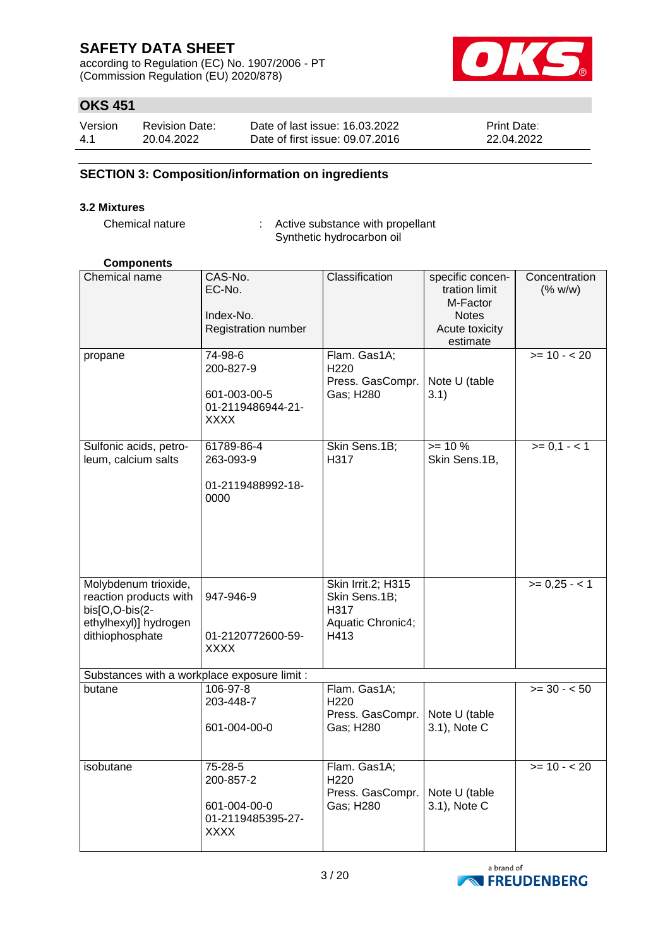according to Regulation (EC) No. 1907/2006 - PT (Commission Regulation (EU) 2020/878)



## **OKS 451**

| Version | <b>Revision Date:</b> | Date of last issue: 16.03.2022  | <b>Print Date:</b> |
|---------|-----------------------|---------------------------------|--------------------|
| 4.1     | 20.04.2022            | Date of first issue: 09.07.2016 | 22.04.2022         |

### **SECTION 3: Composition/information on ingredients**

#### **3.2 Mixtures**

Chemical nature : Active substance with propellant Synthetic hydrocarbon oil

## **Components**

| Chemical name                                                                                                | CAS-No.<br>EC-No.<br>Index-No.<br>Registration number             | Classification                                                           | specific concen-<br>tration limit<br>M-Factor<br><b>Notes</b><br>Acute toxicity<br>estimate | Concentration<br>(% w/w) |
|--------------------------------------------------------------------------------------------------------------|-------------------------------------------------------------------|--------------------------------------------------------------------------|---------------------------------------------------------------------------------------------|--------------------------|
| propane                                                                                                      | 74-98-6<br>200-827-9<br>601-003-00-5<br>01-2119486944-21-<br>XXXX | Flam. Gas1A;<br>H <sub>220</sub><br>Press. GasCompr.<br>Gas; H280        | Note U (table<br>3.1)                                                                       | $>= 10 - 20$             |
| Sulfonic acids, petro-<br>leum, calcium salts                                                                | 61789-86-4<br>263-093-9<br>01-2119488992-18-<br>0000              | Skin Sens.1B;<br>H317                                                    | $>= 10 %$<br>Skin Sens.1B,                                                                  | $>= 0,1 - 1$             |
| Molybdenum trioxide,<br>reaction products with<br>bis[O,O-bis(2-<br>ethylhexyl)] hydrogen<br>dithiophosphate | 947-946-9<br>01-2120772600-59-<br><b>XXXX</b>                     | Skin Irrit.2; H315<br>Skin Sens.1B;<br>H317<br>Aquatic Chronic4;<br>H413 |                                                                                             | $>= 0,25 - 1$            |
| Substances with a workplace exposure limit :                                                                 |                                                                   |                                                                          |                                                                                             |                          |
| butane                                                                                                       | 106-97-8<br>203-448-7<br>601-004-00-0                             | Flam. Gas1A;<br>H220<br>Press. GasCompr.<br>Gas; H280                    | Note U (table<br>3.1), Note C                                                               | $>=$ 30 - < 50           |
| isobutane                                                                                                    | 75-28-5<br>200-857-2<br>601-004-00-0<br>01-2119485395-27-<br>XXXX | Flam. Gas1A;<br>H220<br>Press. GasCompr.<br>Gas; H280                    | Note U (table<br>3.1), Note C                                                               | $>= 10 - 20$             |

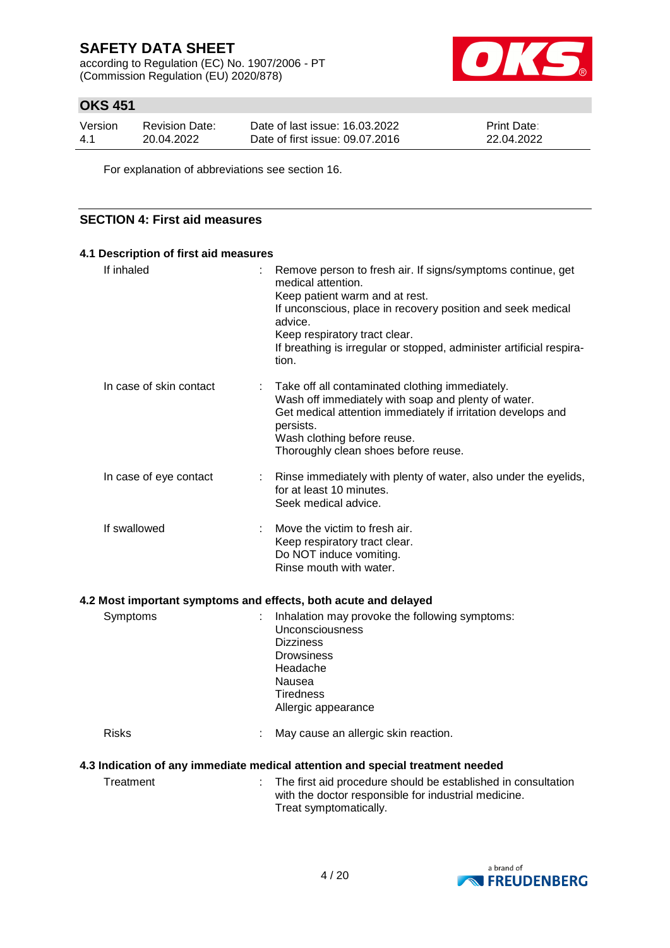according to Regulation (EC) No. 1907/2006 - PT (Commission Regulation (EU) 2020/878)



## **OKS 451**

| Version | Revision Date: | Date of last issue: 16.03.2022  | <b>Print Date:</b> |
|---------|----------------|---------------------------------|--------------------|
| -4.1    | 20.04.2022     | Date of first issue: 09.07.2016 | 22.04.2022         |

For explanation of abbreviations see section 16.

### **SECTION 4: First aid measures**

| 4.1 Description of first aid measures |                                                                                                                                                                                                                                                                                                                 |
|---------------------------------------|-----------------------------------------------------------------------------------------------------------------------------------------------------------------------------------------------------------------------------------------------------------------------------------------------------------------|
| If inhaled                            | Remove person to fresh air. If signs/symptoms continue, get<br>medical attention.<br>Keep patient warm and at rest.<br>If unconscious, place in recovery position and seek medical<br>advice.<br>Keep respiratory tract clear.<br>If breathing is irregular or stopped, administer artificial respira-<br>tion. |
| In case of skin contact               | Take off all contaminated clothing immediately.<br>Wash off immediately with soap and plenty of water.<br>Get medical attention immediately if irritation develops and<br>persists.<br>Wash clothing before reuse.<br>Thoroughly clean shoes before reuse.                                                      |
| In case of eye contact                | Rinse immediately with plenty of water, also under the eyelids,<br>for at least 10 minutes.<br>Seek medical advice.                                                                                                                                                                                             |
| If swallowed                          | Move the victim to fresh air.<br>Keep respiratory tract clear.<br>Do NOT induce vomiting.<br>Rinse mouth with water.                                                                                                                                                                                            |

#### **4.2 Most important symptoms and effects, both acute and delayed**

| Symptoms     | Inhalation may provoke the following symptoms:<br>Unconsciousness<br><b>Dizziness</b><br>Drowsiness<br>Headache<br>Nausea<br>Tiredness |
|--------------|----------------------------------------------------------------------------------------------------------------------------------------|
| <b>Risks</b> | Allergic appearance<br>May cause an allergic skin reaction.                                                                            |
|              | 4.3 Indication of any immediate medical attention and special treatment needed                                                         |

Treatment : The first aid procedure should be established in consultation with the doctor responsible for industrial medicine. Treat symptomatically.

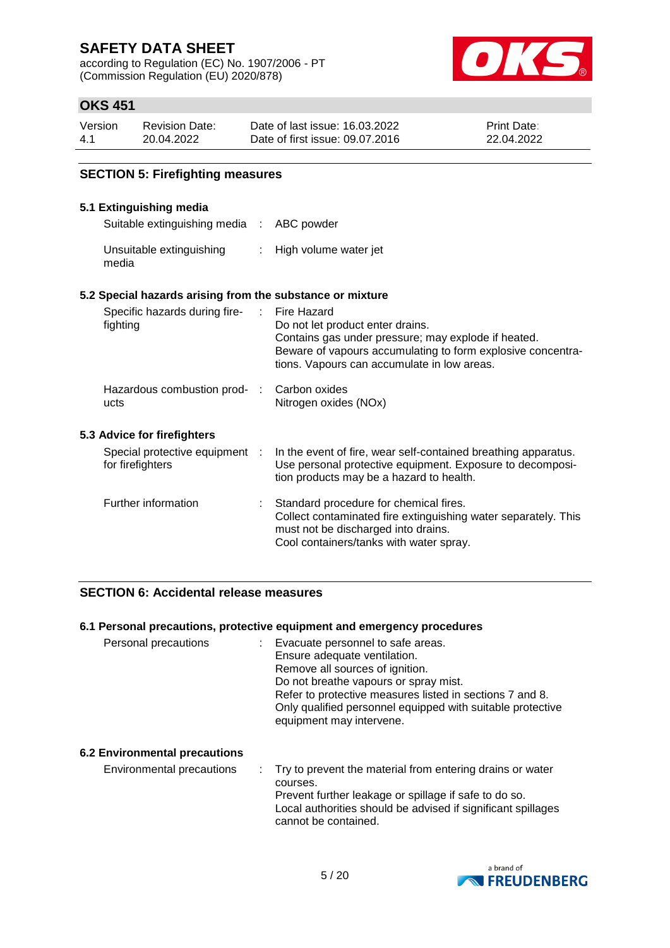according to Regulation (EC) No. 1907/2006 - PT (Commission Regulation (EU) 2020/878)



## **OKS 451**

| Version | <b>Revision Date:</b> | Date of last issue: 16.03.2022  | <b>Print Date:</b> |
|---------|-----------------------|---------------------------------|--------------------|
| $-4.1$  | 20.04.2022            | Date of first issue: 09.07.2016 | 22.04.2022         |

### **SECTION 5: Firefighting measures**

#### **5.1 Extinguishing media**

Suitable extinguishing media : ABC powder

| Unsuitable extinguishing | High volume water jet |
|--------------------------|-----------------------|
| media                    |                       |

#### **5.2 Special hazards arising from the substance or mixture**

| Specific hazards during fire-<br>fighting          | Fire Hazard<br>Do not let product enter drains.<br>Contains gas under pressure; may explode if heated.<br>Beware of vapours accumulating to form explosive concentra-<br>tions. Vapours can accumulate in low areas. |
|----------------------------------------------------|----------------------------------------------------------------------------------------------------------------------------------------------------------------------------------------------------------------------|
| Hazardous combustion prod-:<br>ucts                | Carbon oxides<br>Nitrogen oxides (NOx)                                                                                                                                                                               |
| 5.3 Advice for firefighters                        |                                                                                                                                                                                                                      |
| Special protective equipment :<br>for firefighters | In the event of fire, wear self-contained breathing apparatus.<br>Use personal protective equipment. Exposure to decomposi-<br>tion products may be a hazard to health.                                              |
| Further information                                | Standard procedure for chemical fires.<br>Collect contaminated fire extinguishing water separately. This<br>must not be discharged into drains.<br>Cool containers/tanks with water spray.                           |

#### **SECTION 6: Accidental release measures**

#### **6.1 Personal precautions, protective equipment and emergency procedures**

| Personal precautions                 | Evacuate personnel to safe areas.<br>Ensure adequate ventilation.<br>Remove all sources of ignition.<br>Do not breathe vapours or spray mist.<br>Refer to protective measures listed in sections 7 and 8.<br>Only qualified personnel equipped with suitable protective<br>equipment may intervene. |
|--------------------------------------|-----------------------------------------------------------------------------------------------------------------------------------------------------------------------------------------------------------------------------------------------------------------------------------------------------|
| <b>6.2 Environmental precautions</b> |                                                                                                                                                                                                                                                                                                     |
| Environmental precautions            | Try to prevent the material from entering drains or water                                                                                                                                                                                                                                           |

courses. Prevent further leakage or spillage if safe to do so. Local authorities should be advised if significant spillages cannot be contained.

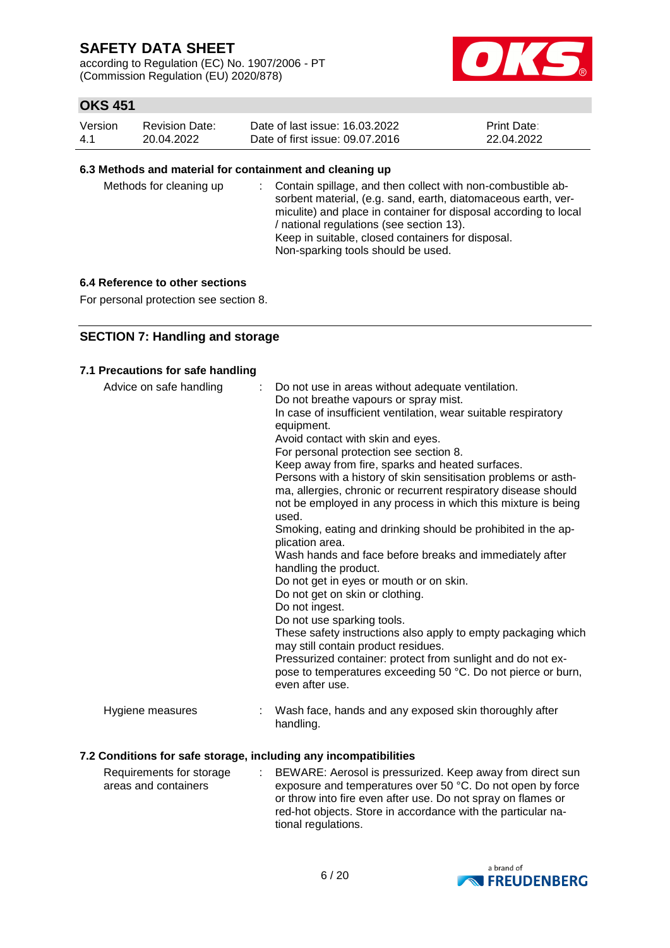according to Regulation (EC) No. 1907/2006 - PT (Commission Regulation (EU) 2020/878)



## **OKS 451**

| Version | Revision Date: | Date of last issue: 16.03.2022  | <b>Print Date:</b> |
|---------|----------------|---------------------------------|--------------------|
| -4.1    | 20.04.2022     | Date of first issue: 09.07.2016 | 22.04.2022         |

#### **6.3 Methods and material for containment and cleaning up**

| Methods for cleaning up | : Contain spillage, and then collect with non-combustible ab-<br>sorbent material, (e.g. sand, earth, diatomaceous earth, ver-<br>miculite) and place in container for disposal according to local<br>/ national regulations (see section 13).<br>Keep in suitable, closed containers for disposal.<br>Non-sparking tools should be used. |
|-------------------------|-------------------------------------------------------------------------------------------------------------------------------------------------------------------------------------------------------------------------------------------------------------------------------------------------------------------------------------------|
|-------------------------|-------------------------------------------------------------------------------------------------------------------------------------------------------------------------------------------------------------------------------------------------------------------------------------------------------------------------------------------|

#### **6.4 Reference to other sections**

For personal protection see section 8.

### **SECTION 7: Handling and storage**

#### **7.1 Precautions for safe handling**

| Advice on safe handling | Do not use in areas without adequate ventilation.<br>Do not breathe vapours or spray mist.<br>In case of insufficient ventilation, wear suitable respiratory<br>equipment.<br>Avoid contact with skin and eyes.<br>For personal protection see section 8.<br>Keep away from fire, sparks and heated surfaces.<br>Persons with a history of skin sensitisation problems or asth-<br>ma, allergies, chronic or recurrent respiratory disease should<br>not be employed in any process in which this mixture is being<br>used.<br>Smoking, eating and drinking should be prohibited in the ap-<br>plication area.<br>Wash hands and face before breaks and immediately after<br>handling the product.<br>Do not get in eyes or mouth or on skin.<br>Do not get on skin or clothing.<br>Do not ingest.<br>Do not use sparking tools.<br>These safety instructions also apply to empty packaging which<br>may still contain product residues.<br>Pressurized container: protect from sunlight and do not ex-<br>pose to temperatures exceeding 50 °C. Do not pierce or burn,<br>even after use. |  |
|-------------------------|--------------------------------------------------------------------------------------------------------------------------------------------------------------------------------------------------------------------------------------------------------------------------------------------------------------------------------------------------------------------------------------------------------------------------------------------------------------------------------------------------------------------------------------------------------------------------------------------------------------------------------------------------------------------------------------------------------------------------------------------------------------------------------------------------------------------------------------------------------------------------------------------------------------------------------------------------------------------------------------------------------------------------------------------------------------------------------------------|--|
| Hygiene measures        | Wash face, hands and any exposed skin thoroughly after<br>handling.                                                                                                                                                                                                                                                                                                                                                                                                                                                                                                                                                                                                                                                                                                                                                                                                                                                                                                                                                                                                                        |  |

#### **7.2 Conditions for safe storage, including any incompatibilities**

Requirements for storage areas and containers : BEWARE: Aerosol is pressurized. Keep away from direct sun exposure and temperatures over 50 °C. Do not open by force or throw into fire even after use. Do not spray on flames or red-hot objects. Store in accordance with the particular national regulations.

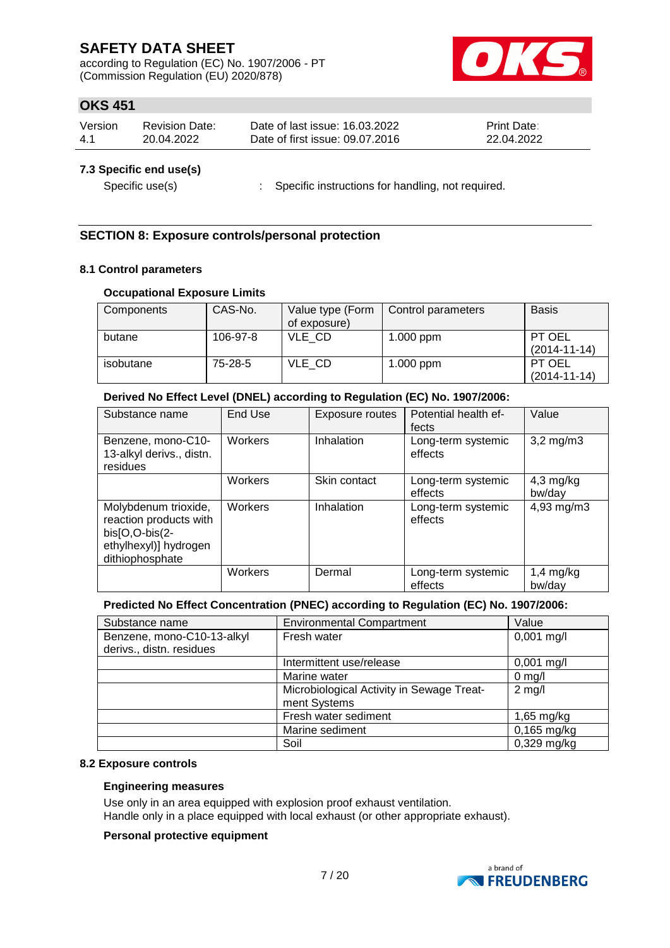according to Regulation (EC) No. 1907/2006 - PT (Commission Regulation (EU) 2020/878)



## **OKS 451**

| Version | Revision Date: | Date of last issue: 16.03.2022  | <b>Print Date:</b> |
|---------|----------------|---------------------------------|--------------------|
| 4.1     | 20.04.2022     | Date of first issue: 09.07.2016 | 22.04.2022         |

#### **7.3 Specific end use(s)**

Specific use(s) : Specific instructions for handling, not required.

### **SECTION 8: Exposure controls/personal protection**

#### **8.1 Control parameters**

#### **Occupational Exposure Limits**

| Components | CAS-No.  | Value type (Form<br>of exposure) | Control parameters | <b>Basis</b>                 |
|------------|----------|----------------------------------|--------------------|------------------------------|
| butane     | 106-97-8 | VLE CD                           | $1.000$ ppm        | PT OEL<br>$(2014 - 11 - 14)$ |
| isobutane  | 75-28-5  | VLE CD                           | $1.000$ ppm        | PT OEL<br>$(2014 - 11 - 14)$ |

#### **Derived No Effect Level (DNEL) according to Regulation (EC) No. 1907/2006:**

| Substance name                                                                                                 | End Use        | Exposure routes | Potential health ef-<br>fects | Value                 |
|----------------------------------------------------------------------------------------------------------------|----------------|-----------------|-------------------------------|-----------------------|
| Benzene, mono-C10-<br>13-alkyl derivs., distn.<br>residues                                                     | <b>Workers</b> | Inhalation      | Long-term systemic<br>effects | $3,2$ mg/m $3$        |
|                                                                                                                | Workers        | Skin contact    | Long-term systemic<br>effects | $4,3$ mg/kg<br>bw/day |
| Molybdenum trioxide,<br>reaction products with<br>$bis[O,O-bis(2-$<br>ethylhexyl)] hydrogen<br>dithiophosphate | Workers        | Inhalation      | Long-term systemic<br>effects | 4,93 mg/m3            |
|                                                                                                                | Workers        | Dermal          | Long-term systemic<br>effects | $1,4$ mg/kg<br>bw/day |

### **Predicted No Effect Concentration (PNEC) according to Regulation (EC) No. 1907/2006:**

| Substance name             | <b>Environmental Compartment</b>          | Value         |
|----------------------------|-------------------------------------------|---------------|
| Benzene, mono-C10-13-alkyl | Fresh water                               | $0,001$ mg/l  |
| derivs., distn. residues   |                                           |               |
|                            | Intermittent use/release                  | $0,001$ mg/l  |
|                            | Marine water                              | $0$ mg/l      |
|                            | Microbiological Activity in Sewage Treat- | $2$ mg/l      |
|                            | ment Systems                              |               |
|                            | Fresh water sediment                      | $1,65$ mg/kg  |
|                            | Marine sediment                           | $0,165$ mg/kg |
|                            | Soil                                      | 0,329 mg/kg   |

#### **8.2 Exposure controls**

#### **Engineering measures**

Use only in an area equipped with explosion proof exhaust ventilation. Handle only in a place equipped with local exhaust (or other appropriate exhaust).

### **Personal protective equipment**

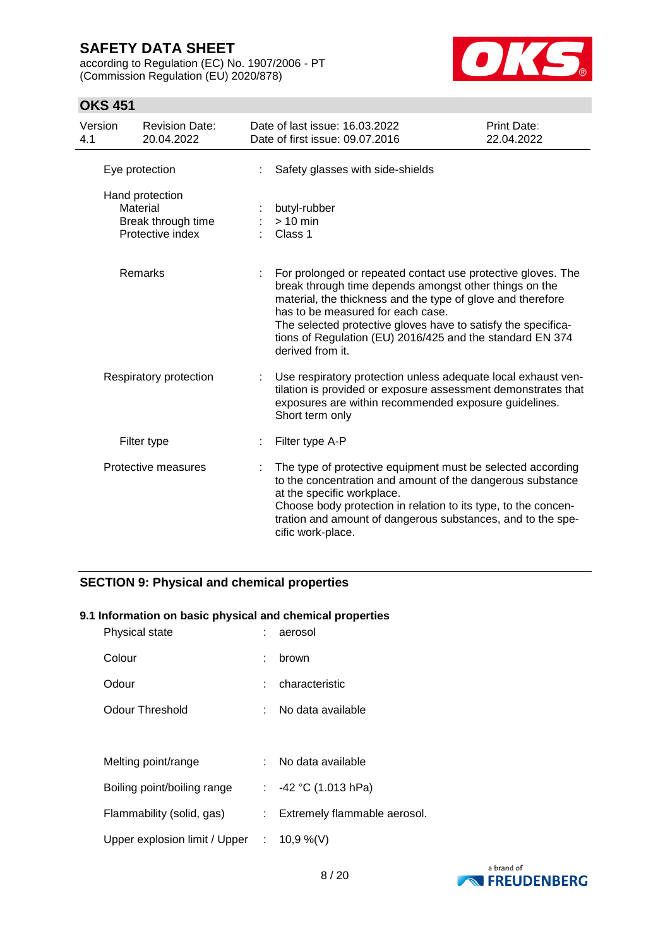according to Regulation (EC) No. 1907/2006 - PT (Commission Regulation (EU) 2020/878)



## **OKS 451**

| Version<br>4.1                                                        | <b>Revision Date:</b><br>20.04.2022                                                                                                                                                                                                                                                                                                                                                     | Date of last issue: 16.03.2022<br>Date of first issue: 09.07.2016 | Print Date:<br>22.04.2022                                                                                                                                                                                                                                                                |  |
|-----------------------------------------------------------------------|-----------------------------------------------------------------------------------------------------------------------------------------------------------------------------------------------------------------------------------------------------------------------------------------------------------------------------------------------------------------------------------------|-------------------------------------------------------------------|------------------------------------------------------------------------------------------------------------------------------------------------------------------------------------------------------------------------------------------------------------------------------------------|--|
|                                                                       | Eye protection                                                                                                                                                                                                                                                                                                                                                                          | Safety glasses with side-shields                                  |                                                                                                                                                                                                                                                                                          |  |
| Hand protection<br>Material<br>Break through time<br>Protective index |                                                                                                                                                                                                                                                                                                                                                                                         | butyl-rubber<br>$> 10$ min<br>Class 1                             |                                                                                                                                                                                                                                                                                          |  |
|                                                                       | Remarks<br>For prolonged or repeated contact use protective gloves. The<br>break through time depends amongst other things on the<br>material, the thickness and the type of glove and therefore<br>has to be measured for each case.<br>The selected protective gloves have to satisfy the specifica-<br>tions of Regulation (EU) 2016/425 and the standard EN 374<br>derived from it. |                                                                   |                                                                                                                                                                                                                                                                                          |  |
| Respiratory protection                                                |                                                                                                                                                                                                                                                                                                                                                                                         | Short term only                                                   | Use respiratory protection unless adequate local exhaust ven-<br>tilation is provided or exposure assessment demonstrates that<br>exposures are within recommended exposure guidelines.                                                                                                  |  |
|                                                                       | Filter type                                                                                                                                                                                                                                                                                                                                                                             | Filter type A-P                                                   |                                                                                                                                                                                                                                                                                          |  |
| Protective measures                                                   |                                                                                                                                                                                                                                                                                                                                                                                         | cific work-place.                                                 | The type of protective equipment must be selected according<br>to the concentration and amount of the dangerous substance<br>at the specific workplace.<br>Choose body protection in relation to its type, to the concen-<br>tration and amount of dangerous substances, and to the spe- |  |

## **SECTION 9: Physical and chemical properties**

#### **9.1 Information on basic physical and chemical properties**

| Physical state                |            | aerosol                      |
|-------------------------------|------------|------------------------------|
| Colour                        | t          | brown                        |
| Odour                         |            | characteristic               |
| Odour Threshold               | t.         | No data available            |
|                               |            |                              |
| Melting point/range           |            | No data available            |
| Boiling point/boiling range   |            | : $-42$ °C (1.013 hPa)       |
| Flammability (solid, gas)     | t.         | Extremely flammable aerosol. |
| Upper explosion limit / Upper | $\sim 100$ | 10,9 %(V)                    |

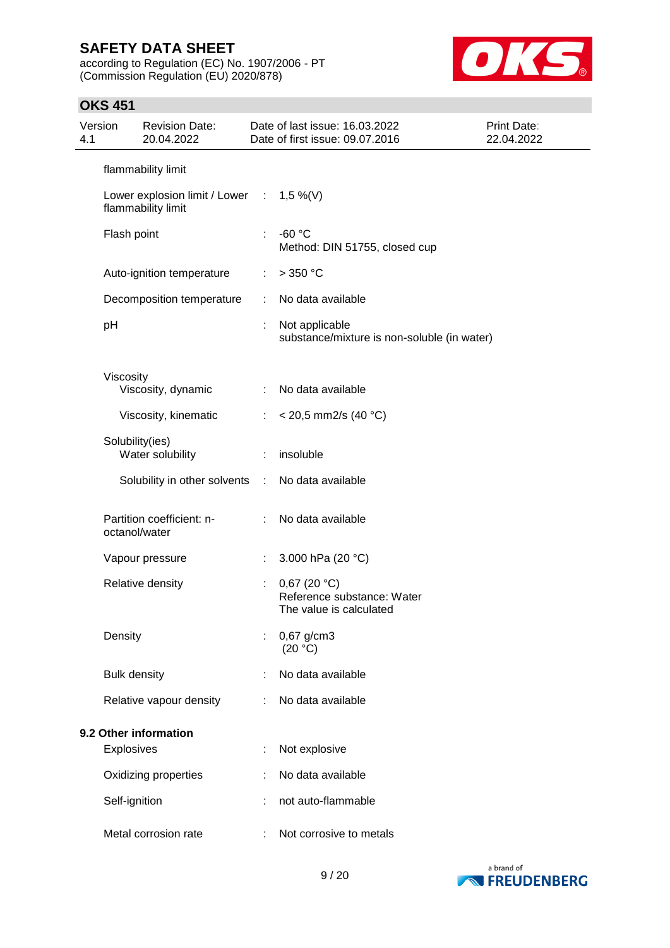according to Regulation (EC) No. 1907/2006 - PT (Commission Regulation (EU) 2020/878)



| Version<br>4.1        |                     | <b>Revision Date:</b><br>20.04.2022                               |    | Date of last issue: 16.03.2022<br>Date of first issue: 09.07.2016    | Print Date:<br>22.04.2022 |
|-----------------------|---------------------|-------------------------------------------------------------------|----|----------------------------------------------------------------------|---------------------------|
|                       |                     | flammability limit                                                |    |                                                                      |                           |
|                       |                     | Lower explosion limit / Lower : $1,5\%$ (V)<br>flammability limit |    |                                                                      |                           |
|                       | Flash point         |                                                                   |    | $-60 °C$<br>Method: DIN 51755, closed cup                            |                           |
|                       |                     | Auto-ignition temperature                                         | ÷. | $>$ 350 °C                                                           |                           |
|                       |                     | Decomposition temperature                                         | ÷. | No data available                                                    |                           |
|                       | pH                  |                                                                   | ÷. | Not applicable<br>substance/mixture is non-soluble (in water)        |                           |
|                       | Viscosity           | Viscosity, dynamic                                                | ÷  | No data available                                                    |                           |
|                       |                     | Viscosity, kinematic                                              |    | $<$ 20,5 mm2/s (40 °C)                                               |                           |
|                       | Solubility(ies)     | Water solubility                                                  |    | insoluble                                                            |                           |
|                       |                     | Solubility in other solvents :                                    |    | No data available                                                    |                           |
|                       | octanol/water       | Partition coefficient: n-                                         | t. | No data available                                                    |                           |
|                       |                     | Vapour pressure                                                   | ÷. | 3.000 hPa (20 °C)                                                    |                           |
|                       |                     | Relative density                                                  |    | 0,67(20 °C)<br>Reference substance: Water<br>The value is calculated |                           |
|                       | Density             |                                                                   |    | $0,67$ g/cm3<br>(20 °C)                                              |                           |
|                       | <b>Bulk density</b> |                                                                   |    | No data available                                                    |                           |
|                       |                     | Relative vapour density                                           |    | No data available                                                    |                           |
| 9.2 Other information |                     |                                                                   |    |                                                                      |                           |
|                       | <b>Explosives</b>   |                                                                   |    | Not explosive                                                        |                           |
|                       |                     | Oxidizing properties                                              |    | No data available                                                    |                           |
|                       | Self-ignition       |                                                                   |    | not auto-flammable                                                   |                           |
|                       |                     | Metal corrosion rate                                              |    | Not corrosive to metals                                              |                           |

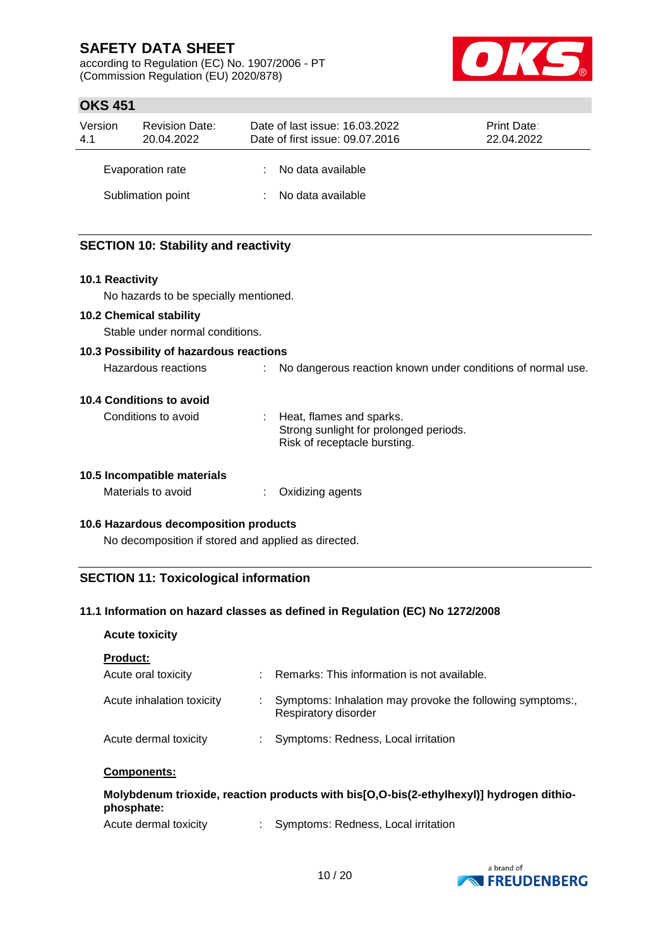according to Regulation (EC) No. 1907/2006 - PT (Commission Regulation (EU) 2020/878)



## **OKS 451**

| Version<br>4.1 | <b>Revision Date:</b><br>20.04.2022 | Date of last issue: 16.03.2022<br>Date of first issue: 09.07.2016 | <b>Print Date:</b><br>22.04.2022 |
|----------------|-------------------------------------|-------------------------------------------------------------------|----------------------------------|
|                | Evaporation rate                    | : No data available                                               |                                  |
|                | Sublimation point                   | : No data available                                               |                                  |

## **SECTION 10: Stability and reactivity**

#### **10.1 Reactivity**

No hazards to be specially mentioned.

#### **10.2 Chemical stability**

Stable under normal conditions.

# **10.3 Possibility of hazardous reactions**

Hazardous reactions : No dangerous reaction known under conditions of normal use.

#### **10.4 Conditions to avoid**

Conditions to avoid : Heat, flames and sparks. Strong sunlight for prolonged periods. Risk of receptacle bursting.

#### **10.5 Incompatible materials**

| Materials to avoid | Oxidizing agents |
|--------------------|------------------|
|--------------------|------------------|

#### **10.6 Hazardous decomposition products**

No decomposition if stored and applied as directed.

## **SECTION 11: Toxicological information**

#### **11.1 Information on hazard classes as defined in Regulation (EC) No 1272/2008**

#### **Acute toxicity**

| <b>Product:</b> |
|-----------------|
|-----------------|

| <b>FIUUUUL.</b>           |    |                                                                                  |
|---------------------------|----|----------------------------------------------------------------------------------|
| Acute oral toxicity       |    | Remarks: This information is not available.                                      |
| Acute inhalation toxicity |    | Symptoms: Inhalation may provoke the following symptoms:<br>Respiratory disorder |
| Acute dermal toxicity     | t. | Symptoms: Redness, Local irritation                                              |

#### **Components:**

## **Molybdenum trioxide, reaction products with bis[O,O-bis(2-ethylhexyl)] hydrogen dithiophosphate:**

Acute dermal toxicity : Symptoms: Redness, Local irritation

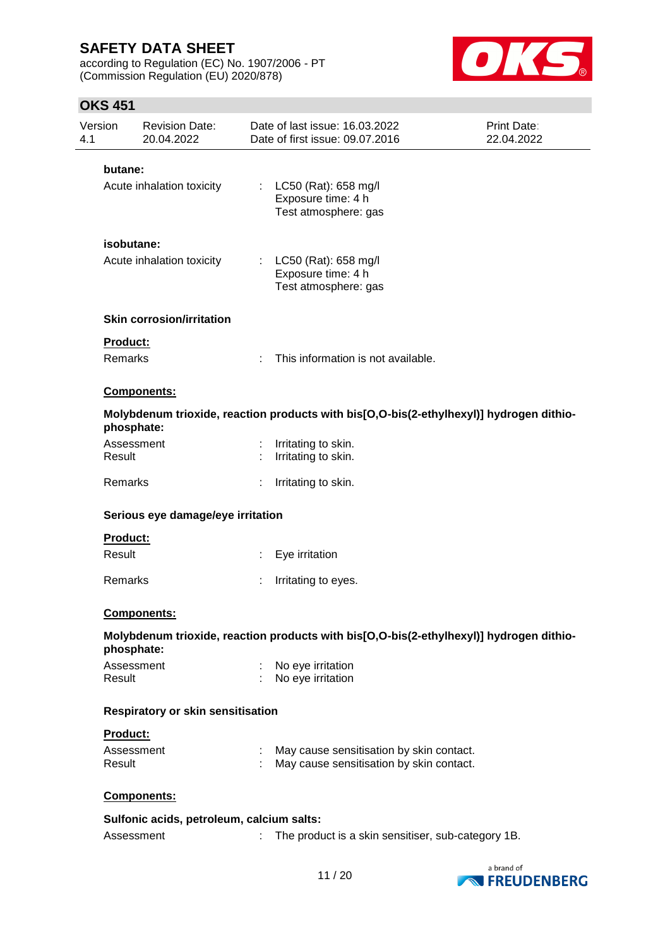according to Regulation (EC) No. 1907/2006 - PT (Commission Regulation (EU) 2020/878)



| Version<br>4.1 | <b>Revision Date:</b><br>20.04.2022       |    | Date of last issue: 16.03.2022<br>Date of first issue: 09.07.2016                       | Print Date:<br>22.04.2022 |
|----------------|-------------------------------------------|----|-----------------------------------------------------------------------------------------|---------------------------|
| butane:        |                                           |    |                                                                                         |                           |
|                | Acute inhalation toxicity                 | ÷. | LC50 (Rat): 658 mg/l<br>Exposure time: 4 h<br>Test atmosphere: gas                      |                           |
|                | isobutane:                                |    |                                                                                         |                           |
|                | Acute inhalation toxicity                 |    | : LC50 (Rat): 658 mg/l<br>Exposure time: 4 h<br>Test atmosphere: gas                    |                           |
|                | <b>Skin corrosion/irritation</b>          |    |                                                                                         |                           |
| Product:       |                                           |    |                                                                                         |                           |
| Remarks        |                                           |    | This information is not available.                                                      |                           |
|                | Components:                               |    |                                                                                         |                           |
|                | phosphate:                                |    | Molybdenum trioxide, reaction products with bis[O,O-bis(2-ethylhexyl)] hydrogen dithio- |                           |
| Result         | Assessment                                | ÷  | Irritating to skin.<br>Irritating to skin.                                              |                           |
| Remarks        |                                           |    | Irritating to skin.                                                                     |                           |
|                | Serious eye damage/eye irritation         |    |                                                                                         |                           |
| Product:       |                                           |    |                                                                                         |                           |
| Result         |                                           |    | Eye irritation                                                                          |                           |
| Remarks        |                                           |    | Irritating to eyes.                                                                     |                           |
|                | <b>Components:</b>                        |    |                                                                                         |                           |
|                | phosphate:                                |    | Molybdenum trioxide, reaction products with bis[O,O-bis(2-ethylhexyl)] hydrogen dithio- |                           |
| Result         | Assessment                                |    | No eye irritation<br>No eye irritation                                                  |                           |
|                | Respiratory or skin sensitisation         |    |                                                                                         |                           |
| Product:       |                                           |    |                                                                                         |                           |
| Result         | Assessment                                |    | May cause sensitisation by skin contact.<br>May cause sensitisation by skin contact.    |                           |
|                | Components:                               |    |                                                                                         |                           |
|                | Sulfonic acids, petroleum, calcium salts: |    |                                                                                         |                           |
|                | Assessment                                | t. | The product is a skin sensitiser, sub-category 1B.                                      |                           |
|                |                                           |    |                                                                                         | a brand of                |

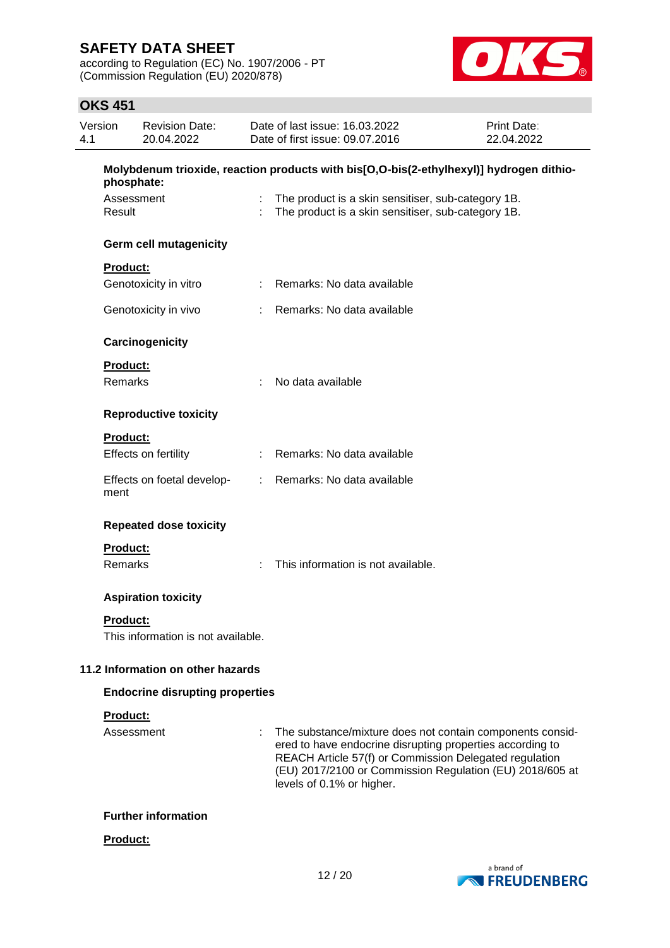according to Regulation (EC) No. 1907/2006 - PT (Commission Regulation (EU) 2020/878)



| Version<br>4.1 |                            | <b>Revision Date:</b><br>20.04.2022    |   | Date of last issue: 16.03.2022<br>Date of first issue: 09.07.2016                                                                                                                                                                                                         | Print Date:<br>22.04.2022 |
|----------------|----------------------------|----------------------------------------|---|---------------------------------------------------------------------------------------------------------------------------------------------------------------------------------------------------------------------------------------------------------------------------|---------------------------|
|                | phosphate:                 |                                        |   | Molybdenum trioxide, reaction products with bis[O,O-bis(2-ethylhexyl)] hydrogen dithio-                                                                                                                                                                                   |                           |
|                | Assessment<br>Result       |                                        |   | The product is a skin sensitiser, sub-category 1B.<br>The product is a skin sensitiser, sub-category 1B.                                                                                                                                                                  |                           |
|                |                            | <b>Germ cell mutagenicity</b>          |   |                                                                                                                                                                                                                                                                           |                           |
|                | Product:                   |                                        |   |                                                                                                                                                                                                                                                                           |                           |
|                |                            | Genotoxicity in vitro                  |   | Remarks: No data available                                                                                                                                                                                                                                                |                           |
|                |                            | Genotoxicity in vivo                   |   | Remarks: No data available                                                                                                                                                                                                                                                |                           |
|                |                            | Carcinogenicity                        |   |                                                                                                                                                                                                                                                                           |                           |
|                | <b>Product:</b><br>Remarks |                                        | ÷ | No data available                                                                                                                                                                                                                                                         |                           |
|                |                            |                                        |   |                                                                                                                                                                                                                                                                           |                           |
|                |                            | <b>Reproductive toxicity</b>           |   |                                                                                                                                                                                                                                                                           |                           |
|                | <b>Product:</b>            |                                        |   |                                                                                                                                                                                                                                                                           |                           |
|                |                            | Effects on fertility                   |   | Remarks: No data available                                                                                                                                                                                                                                                |                           |
|                | ment                       | Effects on foetal develop-             |   | : Remarks: No data available                                                                                                                                                                                                                                              |                           |
|                |                            | <b>Repeated dose toxicity</b>          |   |                                                                                                                                                                                                                                                                           |                           |
|                | Product:                   |                                        |   |                                                                                                                                                                                                                                                                           |                           |
|                | <b>Remarks</b>             |                                        |   | This information is not available.                                                                                                                                                                                                                                        |                           |
|                |                            | <b>Aspiration toxicity</b>             |   |                                                                                                                                                                                                                                                                           |                           |
|                | <b>Product:</b>            |                                        |   |                                                                                                                                                                                                                                                                           |                           |
|                |                            | This information is not available.     |   |                                                                                                                                                                                                                                                                           |                           |
|                |                            | 11.2 Information on other hazards      |   |                                                                                                                                                                                                                                                                           |                           |
|                |                            | <b>Endocrine disrupting properties</b> |   |                                                                                                                                                                                                                                                                           |                           |
|                | <b>Product:</b>            |                                        |   |                                                                                                                                                                                                                                                                           |                           |
|                | Assessment                 |                                        |   | The substance/mixture does not contain components consid-<br>ered to have endocrine disrupting properties according to<br>REACH Article 57(f) or Commission Delegated regulation<br>(EU) 2017/2100 or Commission Regulation (EU) 2018/605 at<br>levels of 0.1% or higher. |                           |
|                |                            | <b>Further information</b>             |   |                                                                                                                                                                                                                                                                           |                           |
|                | Product:                   |                                        |   |                                                                                                                                                                                                                                                                           |                           |

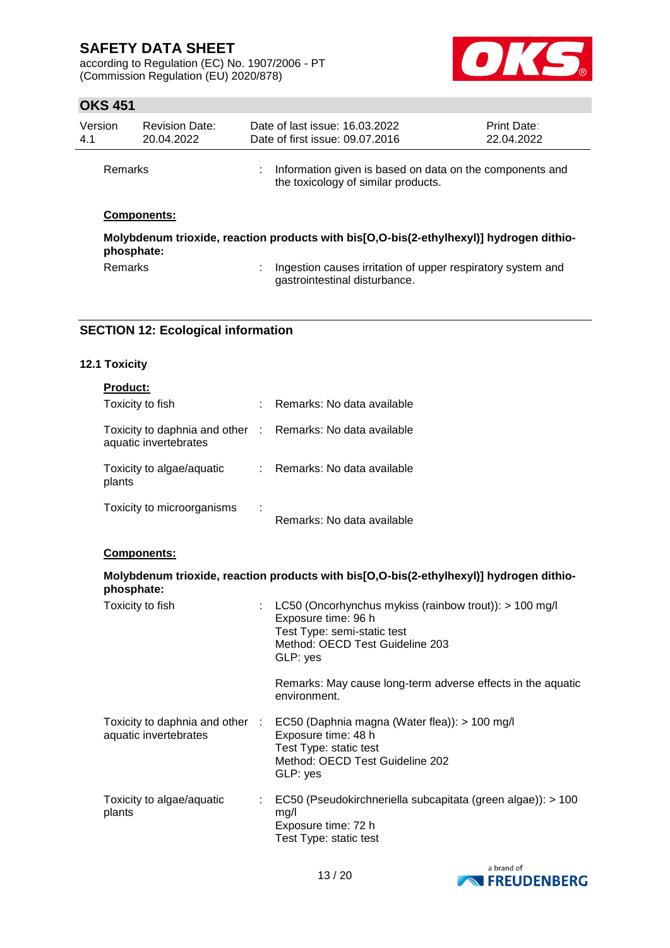according to Regulation (EC) No. 1907/2006 - PT (Commission Regulation (EU) 2020/878)



## **OKS 451**

| Version<br>4.1 | <b>Revision Date:</b><br>20.04.2022 |   | Date of last issue: 16.03.2022<br>Date of first issue: 09.07.2016                               | <b>Print Date:</b><br>22.04.2022 |
|----------------|-------------------------------------|---|-------------------------------------------------------------------------------------------------|----------------------------------|
| Remarks        |                                     | ÷ | Information given is based on data on the components and<br>the toxicology of similar products. |                                  |
|                | <b>Components:</b>                  |   | Molybdenum trioxide, reaction products with bis[O,O-bis(2-ethylhexyl)] hydrogen dithio-         |                                  |
|                | phosphate:                          |   |                                                                                                 |                                  |
| Remarks        |                                     | ÷ | Ingestion causes irritation of upper respiratory system and<br>gastrointestinal disturbance.    |                                  |

# **SECTION 12: Ecological information**

### **12.1 Toxicity**

| phosphate:                                                                          | Molybdenum trioxide, reaction products with bis[O,O-bis(2-ethylhexyl)] hydrogen dithio- |
|-------------------------------------------------------------------------------------|-----------------------------------------------------------------------------------------|
| <b>Components:</b>                                                                  |                                                                                         |
| Toxicity to microorganisms                                                          | Remarks: No data available                                                              |
| Toxicity to algae/aquatic<br>plants                                                 | : Remarks: No data available                                                            |
| Toxicity to daphnia and other : Remarks: No data available<br>aquatic invertebrates |                                                                                         |
| <b>Product:</b><br>Toxicity to fish                                                 | : Remarks: No data available                                                            |

| Toxicity to fish                                         |    | LC50 (Oncorhynchus mykiss (rainbow trout)): $> 100$ mg/l<br>Exposure time: 96 h<br>Test Type: semi-static test<br>Method: OECD Test Guideline 203<br>GLP: yes |
|----------------------------------------------------------|----|---------------------------------------------------------------------------------------------------------------------------------------------------------------|
|                                                          |    | Remarks: May cause long-term adverse effects in the aquatic<br>environment.                                                                                   |
| Toxicity to daphnia and other :<br>aquatic invertebrates |    | EC50 (Daphnia magna (Water flea)): > 100 mg/l<br>Exposure time: 48 h<br>Test Type: static test<br>Method: OECD Test Guideline 202<br>GLP: yes                 |
| Toxicity to algae/aquatic<br>plants                      | ÷. | EC50 (Pseudokirchneriella subcapitata (green algae)): > 100<br>mq/l<br>Exposure time: 72 h<br>Test Type: static test                                          |

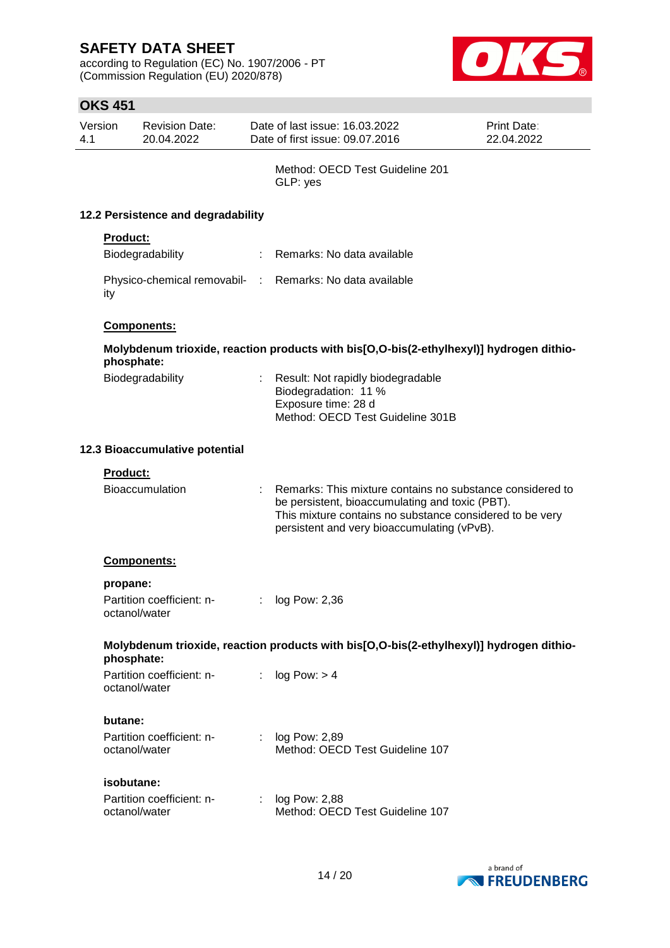according to Regulation (EC) No. 1907/2006 - PT (Commission Regulation (EU) 2020/878)



|                                    | Version    | <b>Revision Date:</b>                      |   | Date of last issue: 16.03.2022                                                                                                                                                                                          | Print Date: |  |
|------------------------------------|------------|--------------------------------------------|---|-------------------------------------------------------------------------------------------------------------------------------------------------------------------------------------------------------------------------|-------------|--|
| 4.1                                |            | 20.04.2022                                 |   | Date of first issue: 09.07.2016                                                                                                                                                                                         | 22.04.2022  |  |
|                                    |            |                                            |   | Method: OECD Test Guideline 201<br>GLP: yes                                                                                                                                                                             |             |  |
| 12.2 Persistence and degradability |            |                                            |   |                                                                                                                                                                                                                         |             |  |
|                                    | Product:   |                                            |   |                                                                                                                                                                                                                         |             |  |
|                                    |            | Biodegradability                           |   | : Remarks: No data available                                                                                                                                                                                            |             |  |
|                                    | ity        |                                            |   | Physico-chemical removabil- : Remarks: No data available                                                                                                                                                                |             |  |
|                                    |            | Components:                                |   |                                                                                                                                                                                                                         |             |  |
|                                    | phosphate: |                                            |   | Molybdenum trioxide, reaction products with bis[O,O-bis(2-ethylhexyl)] hydrogen dithio-                                                                                                                                 |             |  |
|                                    |            | Biodegradability                           |   | Result: Not rapidly biodegradable<br>Biodegradation: 11 %<br>Exposure time: 28 d<br>Method: OECD Test Guideline 301B                                                                                                    |             |  |
| 12.3 Bioaccumulative potential     |            |                                            |   |                                                                                                                                                                                                                         |             |  |
|                                    | Product:   |                                            |   |                                                                                                                                                                                                                         |             |  |
|                                    |            | Bioaccumulation                            |   | Remarks: This mixture contains no substance considered to<br>be persistent, bioaccumulating and toxic (PBT).<br>This mixture contains no substance considered to be very<br>persistent and very bioaccumulating (vPvB). |             |  |
|                                    |            | <b>Components:</b>                         |   |                                                                                                                                                                                                                         |             |  |
|                                    | propane:   |                                            |   |                                                                                                                                                                                                                         |             |  |
|                                    |            | Partition coefficient: n-<br>octanol/water | ÷ | log Pow: 2,36                                                                                                                                                                                                           |             |  |
|                                    | phosphate: |                                            |   | Molybdenum trioxide, reaction products with bis[O,O-bis(2-ethylhexyl)] hydrogen dithio-                                                                                                                                 |             |  |
|                                    |            | Partition coefficient: n-<br>octanol/water | ÷ | log Pow: > 4                                                                                                                                                                                                            |             |  |
|                                    | butane:    |                                            |   |                                                                                                                                                                                                                         |             |  |
|                                    |            | Partition coefficient: n-<br>octanol/water |   | : log Pow: 2,89<br>Method: OECD Test Guideline 107                                                                                                                                                                      |             |  |
|                                    | isobutane: |                                            |   |                                                                                                                                                                                                                         |             |  |
|                                    |            | Partition coefficient: n-<br>octanol/water |   | log Pow: 2,88<br>Method: OECD Test Guideline 107                                                                                                                                                                        |             |  |

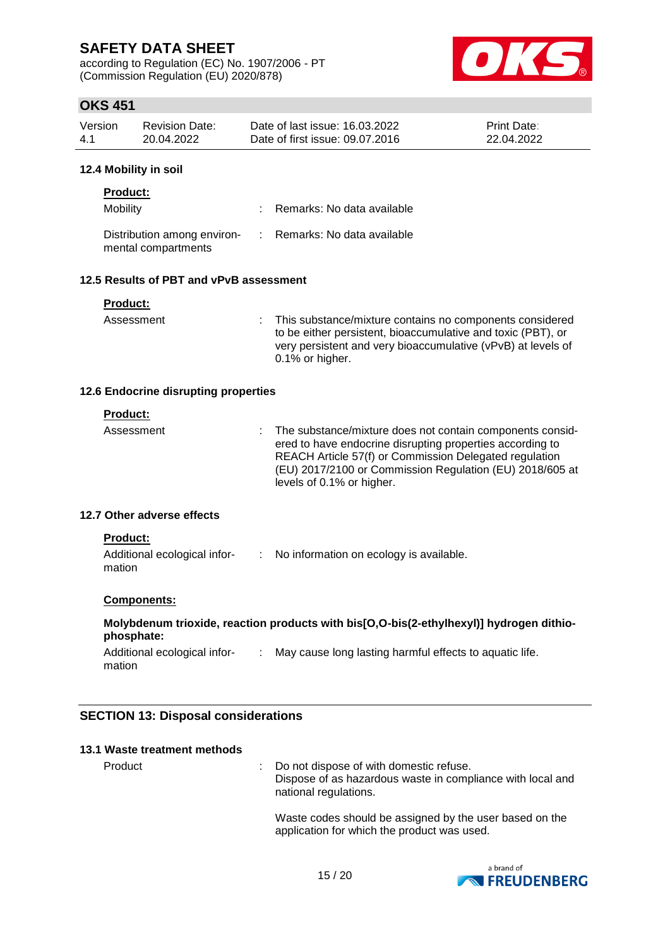according to Regulation (EC) No. 1907/2006 - PT (Commission Regulation (EU) 2020/878)



## **OKS 451**

| Version | <b>Revision Date:</b> | Date of last issue: 16.03.2022  | <b>Print Date:</b> |
|---------|-----------------------|---------------------------------|--------------------|
| -4.1    | 20.04.2022            | Date of first issue: 09.07.2016 | 22.04.2022         |

#### **12.4 Mobility in soil**

| <b>Product:</b>                                    |                              |
|----------------------------------------------------|------------------------------|
| Mobility                                           | : Remarks: No data available |
| Distribution among environ-<br>mental compartments | : Remarks: No data available |

## **12.5 Results of PBT and vPvB assessment**

| <b>Product:</b> |                                                                                                                                                                                                                  |
|-----------------|------------------------------------------------------------------------------------------------------------------------------------------------------------------------------------------------------------------|
| Assessment      | : This substance/mixture contains no components considered<br>to be either persistent, bioaccumulative and toxic (PBT), or<br>very persistent and very bioaccumulative (vPvB) at levels of<br>$0.1\%$ or higher. |

#### **12.6 Endocrine disrupting properties**

|  | ıdıl | ĸ |  |  |
|--|------|---|--|--|
|  |      |   |  |  |

| Assessment | : The substance/mixture does not contain components consid-<br>ered to have endocrine disrupting properties according to<br>REACH Article 57(f) or Commission Delegated regulation<br>(EU) 2017/2100 or Commission Regulation (EU) 2018/605 at<br>levels of 0.1% or higher. |
|------------|-----------------------------------------------------------------------------------------------------------------------------------------------------------------------------------------------------------------------------------------------------------------------------|
|            |                                                                                                                                                                                                                                                                             |

### **12.7 Other adverse effects**

### **Product:**

| Additional ecological infor- | No information on ecology is available. |
|------------------------------|-----------------------------------------|
| mation                       |                                         |

### **Components:**

### **Molybdenum trioxide, reaction products with bis[O,O-bis(2-ethylhexyl)] hydrogen dithiophosphate:**

```
Additional ecological infor- : May cause long lasting harmful effects to aquatic life.
mation
```
## **SECTION 13: Disposal considerations**

| 13.1 Waste treatment methods |  |                                                                                                                                  |
|------------------------------|--|----------------------------------------------------------------------------------------------------------------------------------|
| Product                      |  | : Do not dispose of with domestic refuse.<br>Dispose of as hazardous waste in compliance with local and<br>national regulations. |
|                              |  | Waste codes should be assigned by the user based on the<br>application for which the product was used.                           |

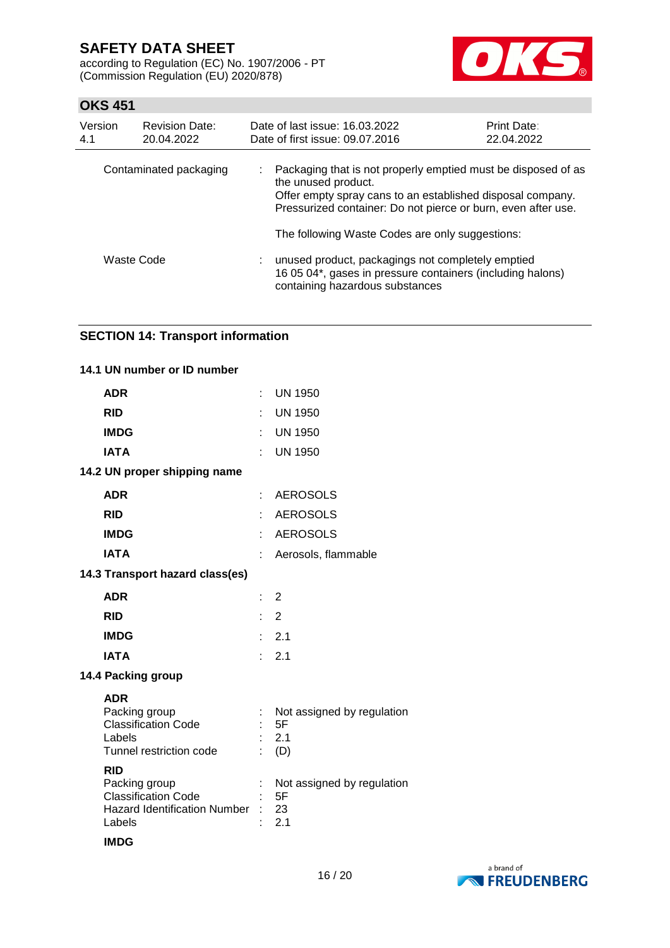according to Regulation (EC) No. 1907/2006 - PT (Commission Regulation (EU) 2020/878)



## **OKS 451**

| Version<br>4.1         | <b>Revision Date:</b><br>20.04.2022 | Date of last issue: 16.03.2022<br>Date of first issue: 09.07.2016                                                                                                                                                   | <b>Print Date:</b><br>22.04.2022 |  |  |  |
|------------------------|-------------------------------------|---------------------------------------------------------------------------------------------------------------------------------------------------------------------------------------------------------------------|----------------------------------|--|--|--|
| Contaminated packaging |                                     | Packaging that is not properly emptied must be disposed of as<br>the unused product.<br>Offer empty spray cans to an established disposal company.<br>Pressurized container: Do not pierce or burn, even after use. |                                  |  |  |  |
|                        |                                     | The following Waste Codes are only suggestions:                                                                                                                                                                     |                                  |  |  |  |
| Waste Code             |                                     | unused product, packagings not completely emptied<br>16 05 04*, gases in pressure containers (including halons)<br>containing hazardous substances                                                                  |                                  |  |  |  |

### **SECTION 14: Transport information**

### **14.1 UN number or ID number**

| <b>ADR</b>                                                                                               |   | $:$ UN 1950                                    |
|----------------------------------------------------------------------------------------------------------|---|------------------------------------------------|
| <b>RID</b>                                                                                               |   | UN 1950                                        |
| <b>IMDG</b>                                                                                              |   | UN 1950                                        |
| <b>IATA</b>                                                                                              |   | <b>UN 1950</b>                                 |
| 14.2 UN proper shipping name                                                                             |   |                                                |
| <b>ADR</b>                                                                                               |   | <b>AEROSOLS</b>                                |
| <b>RID</b>                                                                                               |   | <b>AEROSOLS</b>                                |
| <b>IMDG</b>                                                                                              |   | AEROSOLS                                       |
| <b>IATA</b>                                                                                              | ÷ | Aerosols, flammable                            |
| 14.3 Transport hazard class(es)                                                                          |   |                                                |
| <b>ADR</b>                                                                                               |   | $\therefore$ 2                                 |
| <b>RID</b>                                                                                               |   | $\therefore$ 2                                 |
| <b>IMDG</b>                                                                                              |   | $\therefore$ 2.1                               |
| <b>IATA</b>                                                                                              |   | 2.1                                            |
| 14.4 Packing group                                                                                       |   |                                                |
| <b>ADR</b><br>Packing group<br><b>Classification Code</b><br>Labels<br>Tunnel restriction code           |   | Not assigned by regulation<br>5F<br>2.1<br>(D) |
| <b>RID</b><br>Packing group<br><b>Classification Code</b><br>Hazard Identification Number : 23<br>Labels |   | Not assigned by regulation<br>5F<br>2.1        |
| <b>IMDG</b>                                                                                              |   |                                                |

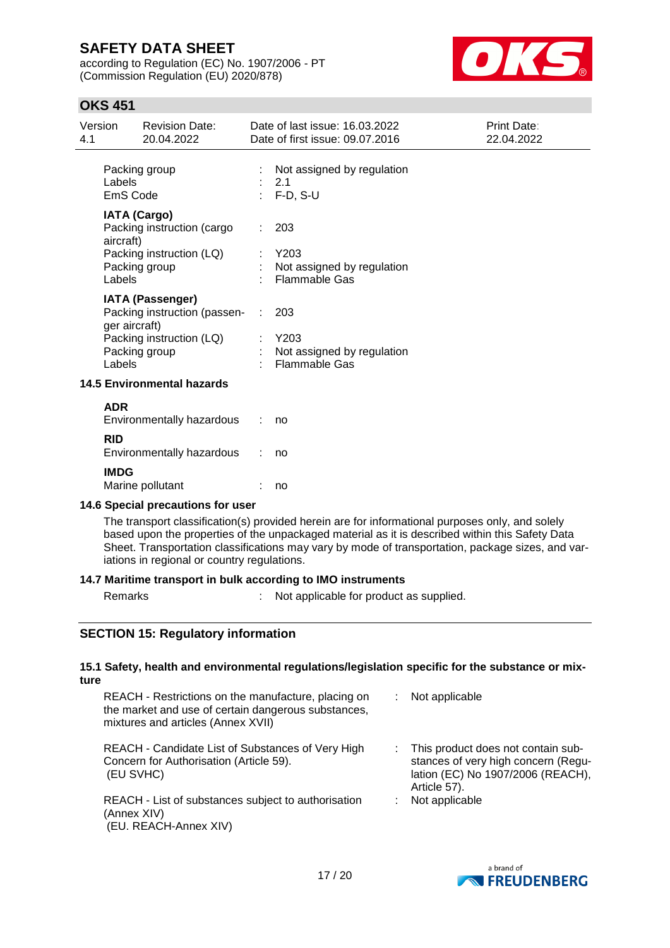according to Regulation (EC) No. 1907/2006 - PT (Commission Regulation (EU) 2020/878)



## **OKS 451**

| 4.1 | Version                 | <b>Revision Date:</b><br>20.04.2022                                                                  | Date of last issue: 16.03.2022<br>Date of first issue: 09.07.2016   | Print Date:<br>22.04.2022 |
|-----|-------------------------|------------------------------------------------------------------------------------------------------|---------------------------------------------------------------------|---------------------------|
|     | Labels<br>EmS Code      | Packing group                                                                                        | Not assigned by regulation<br>2.1<br>$F-D, S-U$                     |                           |
|     | aircraft)<br>Labels     | <b>IATA (Cargo)</b><br>Packing instruction (cargo<br>Packing instruction (LQ)<br>Packing group       | 203<br>Y203<br>Not assigned by regulation<br><b>Flammable Gas</b>   |                           |
|     | ger aircraft)<br>Labels | <b>IATA (Passenger)</b><br>Packing instruction (passen-<br>Packing instruction (LQ)<br>Packing group | : 203<br>Y203<br>Not assigned by regulation<br><b>Flammable Gas</b> |                           |
|     |                         | <b>14.5 Environmental hazards</b>                                                                    |                                                                     |                           |
|     | <b>ADR</b>              | Environmentally hazardous                                                                            | no                                                                  |                           |
|     | <b>RID</b>              | Environmentally hazardous                                                                            | no                                                                  |                           |
|     | <b>IMDG</b>             | Marine pollutant                                                                                     | no                                                                  |                           |

# **14.6 Special precautions for user**

The transport classification(s) provided herein are for informational purposes only, and solely based upon the properties of the unpackaged material as it is described within this Safety Data Sheet. Transportation classifications may vary by mode of transportation, package sizes, and variations in regional or country regulations.

### **14.7 Maritime transport in bulk according to IMO instruments**

Remarks : Not applicable for product as supplied.

### **SECTION 15: Regulatory information**

(EU. REACH-Annex XIV)

#### **15.1 Safety, health and environmental regulations/legislation specific for the substance or mixture**

| REACH - Restrictions on the manufacture, placing on<br>the market and use of certain dangerous substances,<br>mixtures and articles (Annex XVII) | Not applicable                                                                                                                   |
|--------------------------------------------------------------------------------------------------------------------------------------------------|----------------------------------------------------------------------------------------------------------------------------------|
| REACH - Candidate List of Substances of Very High<br>Concern for Authorisation (Article 59).<br>(EU SVHC)                                        | : This product does not contain sub-<br>stances of very high concern (Regu-<br>lation (EC) No 1907/2006 (REACH),<br>Article 57). |
| REACH - List of substances subject to authorisation<br>(Annex XIV)                                                                               | Not applicable                                                                                                                   |

a brand of **EXPRESSION FREUDENBERG**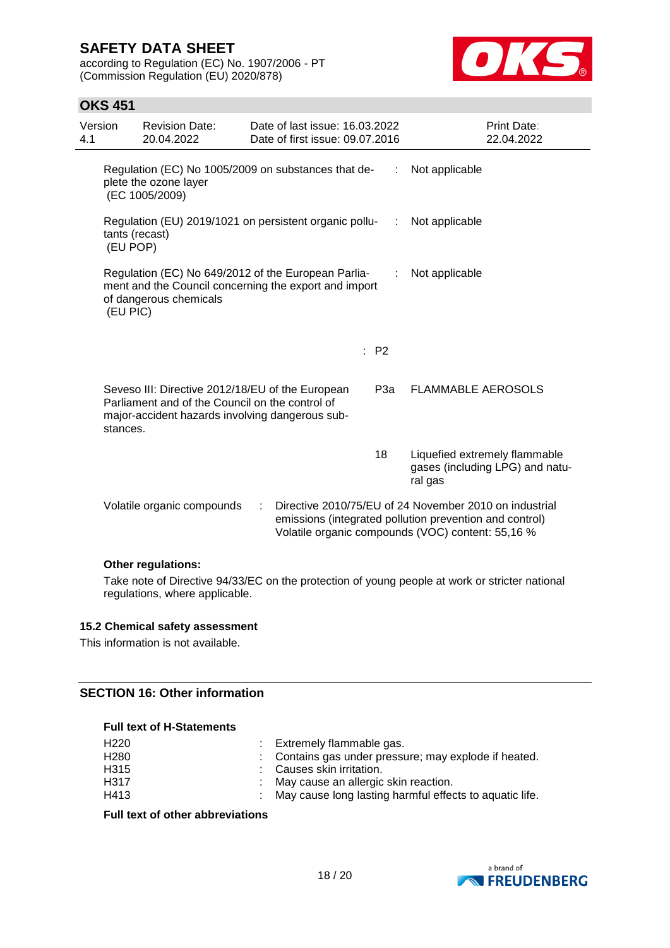according to Regulation (EC) No. 1907/2006 - PT (Commission Regulation (EU) 2020/878)



## **OKS 451**

| Version<br>4.1 |                                                                                            | <b>Revision Date:</b><br>20.04.2022                                                                                                                    | Date of last issue: 16.03.2022<br>Date of first issue: 09.07.2016 |                           |                 | Print Date:<br>22.04.2022                                                                                                                                              |
|----------------|--------------------------------------------------------------------------------------------|--------------------------------------------------------------------------------------------------------------------------------------------------------|-------------------------------------------------------------------|---------------------------|-----------------|------------------------------------------------------------------------------------------------------------------------------------------------------------------------|
|                | plete the ozone layer<br>(EC 1005/2009)                                                    | Regulation (EC) No 1005/2009 on substances that de-                                                                                                    | Not applicable                                                    |                           |                 |                                                                                                                                                                        |
|                | Regulation (EU) 2019/1021 on persistent organic pollu-<br>.:<br>tants (recast)<br>(EU POP) | Not applicable                                                                                                                                         |                                                                   |                           |                 |                                                                                                                                                                        |
|                | (EU PIC)                                                                                   | Regulation (EC) No 649/2012 of the European Parlia-<br>ment and the Council concerning the export and import<br>of dangerous chemicals                 | ÷                                                                 | Not applicable            |                 |                                                                                                                                                                        |
|                |                                                                                            |                                                                                                                                                        |                                                                   |                           | $\therefore$ P2 |                                                                                                                                                                        |
|                | stances.                                                                                   | Seveso III: Directive 2012/18/EU of the European<br>Parliament and of the Council on the control of<br>major-accident hazards involving dangerous sub- | P3a                                                               | <b>FLAMMABLE AEROSOLS</b> |                 |                                                                                                                                                                        |
|                |                                                                                            |                                                                                                                                                        |                                                                   |                           | 18              | Liquefied extremely flammable<br>gases (including LPG) and natu-<br>ral gas                                                                                            |
|                |                                                                                            | Volatile organic compounds                                                                                                                             |                                                                   |                           |                 | Directive 2010/75/EU of 24 November 2010 on industrial<br>emissions (integrated pollution prevention and control)<br>Volatile organic compounds (VOC) content: 55,16 % |

### **Other regulations:**

Take note of Directive 94/33/EC on the protection of young people at work or stricter national regulations, where applicable.

#### **15.2 Chemical safety assessment**

This information is not available.

#### **SECTION 16: Other information**

#### **Full text of H-Statements**

| H <sub>220</sub> | : Extremely flammable gas.                                |
|------------------|-----------------------------------------------------------|
| H <sub>280</sub> | : Contains gas under pressure; may explode if heated.     |
| H <sub>315</sub> | : Causes skin irritation.                                 |
| H <sub>317</sub> | : May cause an allergic skin reaction.                    |
| H413             | : May cause long lasting harmful effects to aquatic life. |

#### **Full text of other abbreviations**

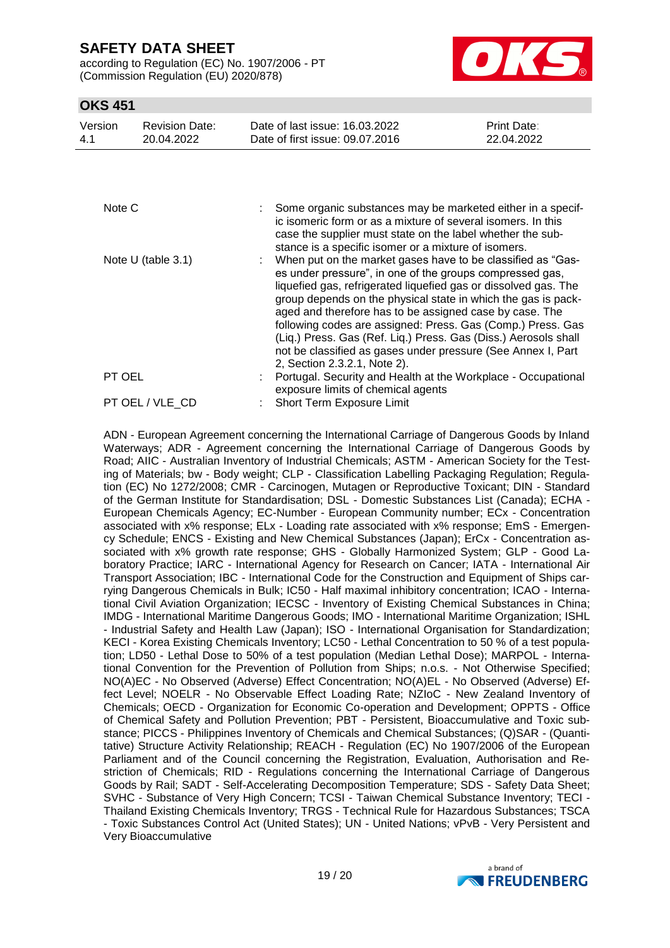according to Regulation (EC) No. 1907/2006 - PT (Commission Regulation (EU) 2020/878)



## **OKS 451**

| Version<br>Date of last issue: 16.03.2022<br><b>Print Date:</b><br><b>Revision Date:</b><br>Date of first issue: 09.07.2016<br>22.04.2022<br>4.1<br>20.04.2022 |  |
|----------------------------------------------------------------------------------------------------------------------------------------------------------------|--|
|----------------------------------------------------------------------------------------------------------------------------------------------------------------|--|

| Note C               | Some organic substances may be marketed either in a specif-<br>ic isomeric form or as a mixture of several isomers. In this<br>case the supplier must state on the label whether the sub-<br>stance is a specific isomer or a mixture of isomers.                                                                                                                                                                                                                                                                                                          |
|----------------------|------------------------------------------------------------------------------------------------------------------------------------------------------------------------------------------------------------------------------------------------------------------------------------------------------------------------------------------------------------------------------------------------------------------------------------------------------------------------------------------------------------------------------------------------------------|
| Note $U$ (table 3.1) | : When put on the market gases have to be classified as "Gas-<br>es under pressure", in one of the groups compressed gas,<br>liquefied gas, refrigerated liquefied gas or dissolved gas. The<br>group depends on the physical state in which the gas is pack-<br>aged and therefore has to be assigned case by case. The<br>following codes are assigned: Press. Gas (Comp.) Press. Gas<br>(Liq.) Press. Gas (Ref. Liq.) Press. Gas (Diss.) Aerosols shall<br>not be classified as gases under pressure (See Annex I, Part<br>2, Section 2.3.2.1, Note 2). |
| PT OEL               | Portugal. Security and Health at the Workplace - Occupational                                                                                                                                                                                                                                                                                                                                                                                                                                                                                              |
|                      | exposure limits of chemical agents                                                                                                                                                                                                                                                                                                                                                                                                                                                                                                                         |
| PT OEL / VLE CD      | <b>Short Term Exposure Limit</b>                                                                                                                                                                                                                                                                                                                                                                                                                                                                                                                           |

ADN - European Agreement concerning the International Carriage of Dangerous Goods by Inland Waterways; ADR - Agreement concerning the International Carriage of Dangerous Goods by Road; AIIC - Australian Inventory of Industrial Chemicals; ASTM - American Society for the Testing of Materials; bw - Body weight; CLP - Classification Labelling Packaging Regulation; Regulation (EC) No 1272/2008; CMR - Carcinogen, Mutagen or Reproductive Toxicant; DIN - Standard of the German Institute for Standardisation; DSL - Domestic Substances List (Canada); ECHA - European Chemicals Agency; EC-Number - European Community number; ECx - Concentration associated with x% response; ELx - Loading rate associated with x% response; EmS - Emergency Schedule; ENCS - Existing and New Chemical Substances (Japan); ErCx - Concentration associated with x% growth rate response; GHS - Globally Harmonized System; GLP - Good Laboratory Practice; IARC - International Agency for Research on Cancer; IATA - International Air Transport Association; IBC - International Code for the Construction and Equipment of Ships carrying Dangerous Chemicals in Bulk; IC50 - Half maximal inhibitory concentration; ICAO - International Civil Aviation Organization; IECSC - Inventory of Existing Chemical Substances in China; IMDG - International Maritime Dangerous Goods; IMO - International Maritime Organization; ISHL - Industrial Safety and Health Law (Japan); ISO - International Organisation for Standardization; KECI - Korea Existing Chemicals Inventory; LC50 - Lethal Concentration to 50 % of a test population; LD50 - Lethal Dose to 50% of a test population (Median Lethal Dose); MARPOL - International Convention for the Prevention of Pollution from Ships; n.o.s. - Not Otherwise Specified; NO(A)EC - No Observed (Adverse) Effect Concentration; NO(A)EL - No Observed (Adverse) Effect Level; NOELR - No Observable Effect Loading Rate; NZIoC - New Zealand Inventory of Chemicals; OECD - Organization for Economic Co-operation and Development; OPPTS - Office of Chemical Safety and Pollution Prevention; PBT - Persistent, Bioaccumulative and Toxic substance; PICCS - Philippines Inventory of Chemicals and Chemical Substances; (Q)SAR - (Quantitative) Structure Activity Relationship; REACH - Regulation (EC) No 1907/2006 of the European Parliament and of the Council concerning the Registration, Evaluation, Authorisation and Restriction of Chemicals; RID - Regulations concerning the International Carriage of Dangerous Goods by Rail; SADT - Self-Accelerating Decomposition Temperature; SDS - Safety Data Sheet; SVHC - Substance of Very High Concern; TCSI - Taiwan Chemical Substance Inventory; TECI - Thailand Existing Chemicals Inventory; TRGS - Technical Rule for Hazardous Substances; TSCA - Toxic Substances Control Act (United States); UN - United Nations; vPvB - Very Persistent and Very Bioaccumulative